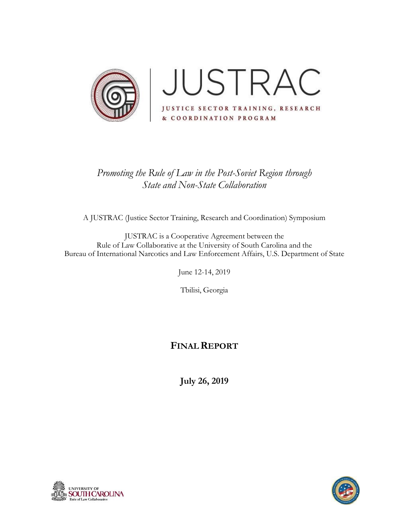

# *Promoting the Rule of Law in the Post-Soviet Region through State and Non-State Collaboration*

A JUSTRAC (Justice Sector Training, Research and Coordination) Symposium

JUSTRAC is a Cooperative Agreement between the Rule of Law Collaborative at the University of South Carolina and the Bureau of International Narcotics and Law Enforcement Affairs, U.S. Department of State

June 12-14, 2019

Tbilisi, Georgia

## **FINALREPORT**

**July 26, 2019**



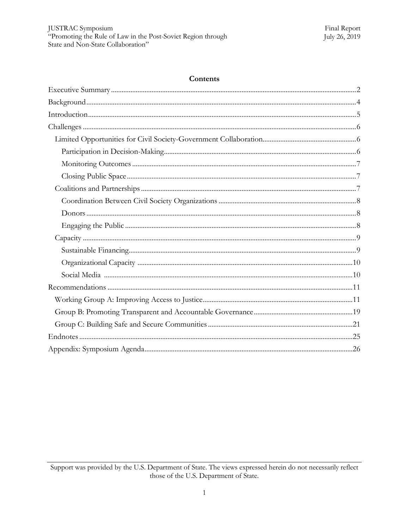#### Contents

Support was provided by the U.S. Department of State. The views expressed herein do not necessarily reflect those of the U.S. Department of State.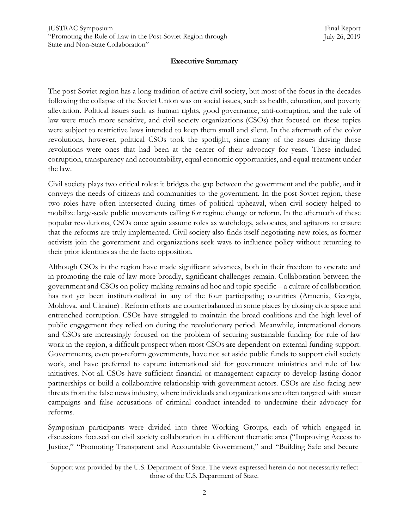## **Executive Summary**

<span id="page-2-0"></span>The post-Soviet region has a long tradition of active civil society, but most of the focus in the decades following the collapse of the Soviet Union was on social issues, such as health, education, and poverty alleviation. Political issues such as human rights, good governance, anti-corruption, and the rule of law were much more sensitive, and civil society organizations (CSOs) that focused on these topics were subject to restrictive laws intended to keep them small and silent. In the aftermath of the color revolutions, however, political CSOs took the spotlight, since many of the issues driving those revolutions were ones that had been at the center of their advocacy for years. These included corruption, transparency and accountability, equal economic opportunities, and equal treatment under the law.

Civil society plays two critical roles: it bridges the gap between the government and the public, and it conveys the needs of citizens and communities to the government. In the post-Soviet region, these two roles have often intersected during times of political upheaval, when civil society helped to mobilize large-scale public movements calling for regime change or reform. In the aftermath of these popular revolutions, CSOs once again assume roles as watchdogs, advocates, and agitators to ensure that the reforms are truly implemented. Civil society also finds itself negotiating new roles, as former activists join the government and organizations seek ways to influence policy without returning to their prior identities as the de facto opposition.

Although CSOs in the region have made significant advances, both in their freedom to operate and in promoting the rule of law more broadly, significant challenges remain. Collaboration between the government and CSOs on policy-making remains ad hoc and topic specific – a culture of collaboration has not yet been institutionalized in any of the four participating countries (Armenia, Georgia, Moldova, and Ukraine) . Reform efforts are counterbalanced in some places by closing civic space and entrenched corruption. CSOs have struggled to maintain the broad coalitions and the high level of public engagement they relied on during the revolutionary period. Meanwhile, international donors and CSOs are increasingly focused on the problem of securing sustainable funding for rule of law work in the region, a difficult prospect when most CSOs are dependent on external funding support. Governments, even pro-reform governments, have not set aside public funds to support civil society work, and have preferred to capture international aid for government ministries and rule of law initiatives. Not all CSOs have sufficient financial or management capacity to develop lasting donor partnerships or build a collaborative relationship with government actors. CSOs are also facing new threats from the false news industry, where individuals and organizations are often targeted with smear campaigns and false accusations of criminal conduct intended to undermine their advocacy for reforms.

Symposium participants were divided into three Working Groups, each of which engaged in discussions focused on civil society collaboration in a different thematic area ("Improving Access to Justice," "Promoting Transparent and Accountable Government," and "Building Safe and Secure

Support was provided by the U.S. Department of State. The views expressed herein do not necessarily reflect those of the U.S. Department of State.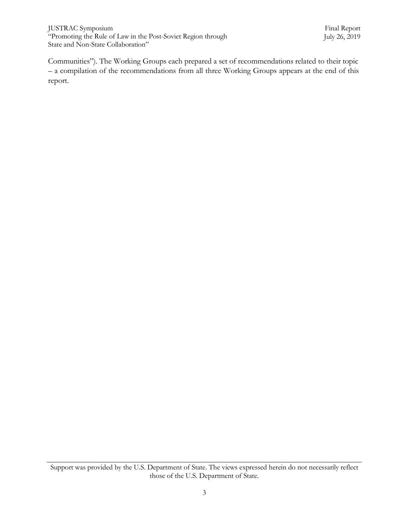JUSTRAC Symposium "Promoting the Rule of Law in the Post-Soviet Region through State and Non-State Collaboration"

Communities"). The Working Groups each prepared a set of recommendations related to their topic – a compilation of the recommendations from all three Working Groups appears at the end of this report.

Support was provided by the U.S. Department of State. The views expressed herein do not necessarily reflect those of the U.S. Department of State.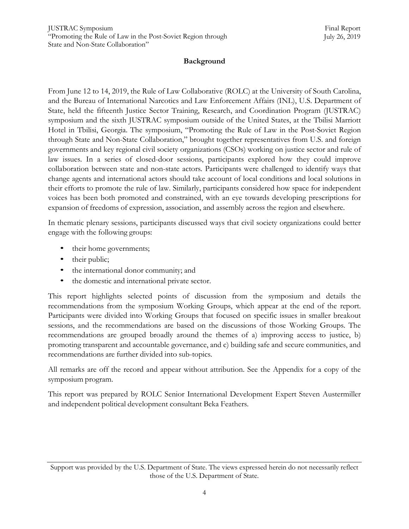## **Background**

<span id="page-4-0"></span>From June 12 to 14, 2019, the Rule of Law Collaborative (ROLC) at the University of South Carolina, and the Bureau of International Narcotics and Law Enforcement Affairs (INL), U.S. Department of State, held the fifteenth Justice Sector Training, Research, and Coordination Program (JUSTRAC) symposium and the sixth JUSTRAC symposium outside of the United States, at the Tbilisi Marriott Hotel in Tbilisi, Georgia. The symposium, "Promoting the Rule of Law in the Post-Soviet Region through State and Non-State Collaboration," brought together representatives from U.S. and foreign governments and key regional civil society organizations (CSOs) working on justice sector and rule of law issues. In a series of closed-door sessions, participants explored how they could improve collaboration between state and non-state actors. Participants were challenged to identify ways that change agents and international actors should take account of local conditions and local solutions in their efforts to promote the rule of law. Similarly, participants considered how space for independent voices has been both promoted and constrained, with an eye towards developing prescriptions for expansion of freedoms of expression, association, and assembly across the region and elsewhere.

In thematic plenary sessions, participants discussed ways that civil society organizations could better engage with the following groups:

- their home governments;
- their public;
- the international donor community; and
- the domestic and international private sector.

This report highlights selected points of discussion from the symposium and details the recommendations from the symposium Working Groups, which appear at the end of the report. Participants were divided into Working Groups that focused on specific issues in smaller breakout sessions, and the recommendations are based on the discussions of those Working Groups. The recommendations are grouped broadly around the themes of a) improving access to justice, b) promoting transparent and accountable governance, and c) building safe and secure communities, and recommendations are further divided into sub-topics.

All remarks are off the record and appear without attribution. See the Appendix for a copy of the symposium program.

This report was prepared by ROLC Senior International Development Expert Steven Austermiller and independent political development consultant Beka Feathers.

Support was provided by the U.S. Department of State. The views expressed herein do not necessarily reflect those of the U.S. Department of State.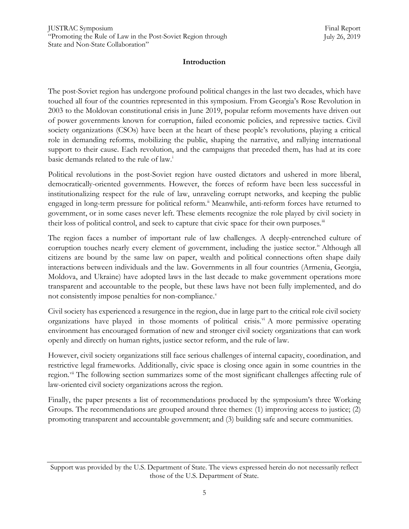## <span id="page-5-0"></span>**Introduction**

The post-Soviet region has undergone profound political changes in the last two decades, which have touched all four of the countries represented in this symposium. From Georgia"s Rose Revolution in 2003 to the Moldovan constitutional crisis in June 2019, popular reform movements have driven out of power governments known for corruption, failed economic policies, and repressive tactics. Civil society organizations (CSOs) have been at the heart of these people's revolutions, playing a critical role in demanding reforms, mobilizing the public, shaping the narrative, and rallying international support to their cause. Each revolution, and the campaigns that preceded them, has had at its core basic demands related to the rule of law.<sup>i</sup>

Political revolutions in the post-Soviet region have ousted dictators and ushered in more liberal, democratically-oriented governments. However, the forces of reform have been less successful in institutionalizing respect for the rule of law, unraveling corrupt networks, and keeping the public engaged in long-term pressure for political reform.<sup>ii</sup> [M](#page-25-1)eanwhile, anti-reform forces have returned to government, or in some cases never left. These elements recognize the role played by civil society in their loss of political control, and seek to capture that civic space for their own purposes.<sup>[iii](#page-25-2)</sup>

The region faces a number of important rule of law challenges. A deeply-entrenched culture of corruption touches nearly every element of government, including the justice sector.<sup>[iv](#page-25-3)</sup> Although all citizens are bound by the same law on paper, wealth and political connections often shape daily interactions between individuals and the law. Governments in all four countries (Armenia, Georgia, Moldova, and Ukraine) have adopted laws in the last decade to make government operations more transparent and accountable to the people, but these laws have not been fully implemented, and do not consistently impose penalties for non-compliance[.](#page-25-4)<sup>v</sup>

Civil society has experienced a resurgence in the region, due in large part to the critical role civil society organizations have played in those moments of political crisis.<sup>[vi](#page-25-5)</sup> A more permissive operating environment has encouraged formation of new and stronger civil society organizations that can work openly and directly on human rights, justice sector reform, and the rule of law.

However, civil society organizations still face serious challenges of internal capacity, coordination, and restrictive legal frameworks. Additionally, civic space is closing once again in some countries in the region.<sup>[vii](#page-25-6)</sup> The following section summarizes some of the most significant challenges affecting rule of law-oriented civil society organizations across the region.

Finally, the paper presents a list of recommendations produced by the symposium"s three Working Groups. The recommendations are grouped around three themes: (1) improving access to justice; (2) promoting transparent and accountable government; and (3) building safe and secure communities.

Support was provided by the U.S. Department of State. The views expressed herein do not necessarily reflect those of the U.S. Department of State.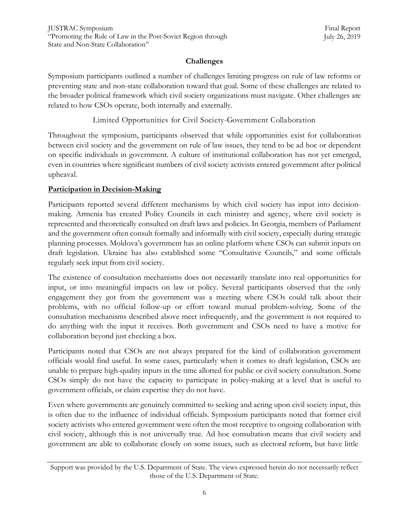## **Challenges**

<span id="page-6-0"></span>Symposium participants outlined a number of challenges limiting progress on rule of law reforms or preventing state and non-state collaboration toward that goal. Some of these challenges are related to the broader political framework which civil society organizations must navigate. Other challenges are related to how CSOs operate, both internally and externally.

Limited Opportunities for Civil Society-Government Collaboration

<span id="page-6-1"></span>Throughout the symposium, participants observed that while opportunities exist for collaboration between civil society and the government on rule of law issues, they tend to be ad hoc or dependent on specific individuals in government. A culture of institutional collaboration has not yet emerged, even in countries where significant numbers of civil society activists entered government after political upheaval.

## <span id="page-6-2"></span>**Participation in Decision-Making**

Participants reported several different mechanisms by which civil society has input into decisionmaking. Armenia has created Policy Councils in each ministry and agency, where civil society is represented and theoretically consulted on draft laws and policies. In Georgia, members of Parliament and the government often consult formally and informally with civil society, especially during strategic planning processes. Moldova"s government has an online platform where CSOs can submit inputs on draft legislation. Ukraine has also established some "Consultative Councils," and some officials regularly seek input from civil society.

The existence of consultation mechanisms does not necessarily translate into real opportunities for input, or into meaningful impacts on law or policy. Several participants observed that the only engagement they got from the government was a meeting where CSOs could talk about their problems, with no official follow-up or effort toward mutual problem-solving. Some of the consultation mechanisms described above meet infrequently, and the government is not required to do anything with the input it receives. Both government and CSOs need to have a motive for collaboration beyond just checking a box.

Participants noted that CSOs are not always prepared for the kind of collaboration government officials would find useful. In some cases, particularly when it comes to draft legislation, CSOs are unable to prepare high-quality inputs in the time allotted for public or civil society consultation. Some CSOs simply do not have the capacity to participate in policy-making at a level that is useful to government officials, or claim expertise they do not have.

Even where governments are genuinely committed to seeking and acting upon civil society input, this is often due to the influence of individual officials. Symposium participants noted that former civil society activists who entered government were often the most receptive to ongoing collaboration with civil society, although this is not universally true. Ad hoc consultation means that civil society and government are able to collaborate closely on some issues, such as electoral reform, but have little

Support was provided by the U.S. Department of State. The views expressed herein do not necessarily reflect those of the U.S. Department of State.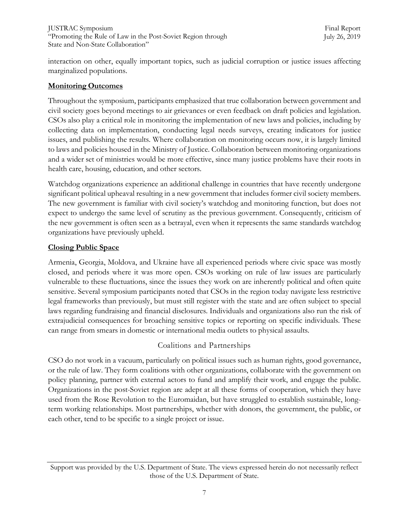interaction on other, equally important topics, such as judicial corruption or justice issues affecting marginalized populations.

## <span id="page-7-0"></span>**Monitoring Outcomes**

Throughout the symposium, participants emphasized that true collaboration between government and civil society goes beyond meetings to air grievances or even feedback on draft policies and legislation. CSOs also play a critical role in monitoring the implementation of new laws and policies, including by collecting data on implementation, conducting legal needs surveys, creating indicators for justice issues, and publishing the results. Where collaboration on monitoring occurs now, it is largely limited to laws and policies housed in the Ministry of Justice. Collaboration between monitoring organizations and a wider set of ministries would be more effective, since many justice problems have their roots in health care, housing, education, and other sectors.

Watchdog organizations experience an additional challenge in countries that have recently undergone significant political upheaval resulting in a new government that includes former civil society members. The new government is familiar with civil society"s watchdog and monitoring function, but does not expect to undergo the same level of scrutiny as the previous government. Consequently, criticism of the new government is often seen as a betrayal, even when it represents the same standards watchdog organizations have previously upheld.

## <span id="page-7-1"></span>**Closing Public Space**

Armenia, Georgia, Moldova, and Ukraine have all experienced periods where civic space was mostly closed, and periods where it was more open. CSOs working on rule of law issues are particularly vulnerable to these fluctuations, since the issues they work on are inherently political and often quite sensitive. Several symposium participants noted that CSOs in the region today navigate less restrictive legal frameworks than previously, but must still register with the state and are often subject to special laws regarding fundraising and financial disclosures. Individuals and organizations also run the risk of extrajudicial consequences for broaching sensitive topics or reporting on specific individuals. These can range from smears in domestic or international media outlets to physical assaults.

## Coalitions and Partnerships

<span id="page-7-2"></span>CSO do not work in a vacuum, particularly on political issues such as human rights, good governance, or the rule of law. They form coalitions with other organizations, collaborate with the government on policy planning, partner with external actors to fund and amplify their work, and engage the public. Organizations in the post-Soviet region are adept at all these forms of cooperation, which they have used from the Rose Revolution to the Euromaidan, but have struggled to establish sustainable, longterm working relationships. Most partnerships, whether with donors, the government, the public, or each other, tend to be specific to a single project or issue.

Support was provided by the U.S. Department of State. The views expressed herein do not necessarily reflect those of the U.S. Department of State.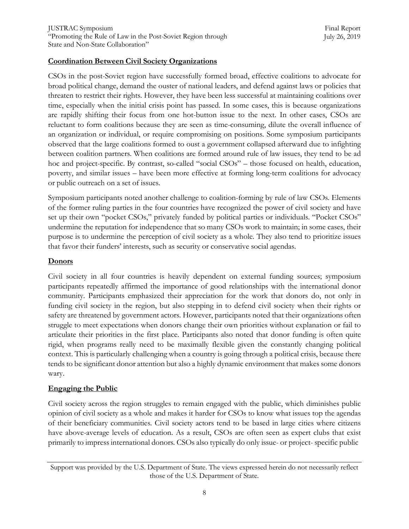## <span id="page-8-0"></span>**Coordination Between Civil Society Organizations**

CSOs in the post-Soviet region have successfully formed broad, effective coalitions to advocate for broad political change, demand the ouster of national leaders, and defend against laws or policies that threaten to restrict their rights. However, they have been less successful at maintaining coalitions over time, especially when the initial crisis point has passed. In some cases, this is because organizations are rapidly shifting their focus from one hot-button issue to the next. In other cases, CSOs are reluctant to form coalitions because they are seen as time-consuming, dilute the overall influence of an organization or individual, or require compromising on positions. Some symposium participants observed that the large coalitions formed to oust a government collapsed afterward due to infighting between coalition partners. When coalitions are formed around rule of law issues, they tend to be ad hoc and project-specific. By contrast, so-called "social CSOs" – those focused on health, education, poverty, and similar issues – have been more effective at forming long-term coalitions for advocacy or public outreach on a set of issues.

Symposium participants noted another challenge to coalition-forming by rule of law CSOs. Elements of the former ruling parties in the four countries have recognized the power of civil society and have set up their own "pocket CSOs," privately funded by political parties or individuals. "Pocket CSOs" undermine the reputation for independence that so many CSOs work to maintain; in some cases, their purpose is to undermine the perception of civil society as a whole. They also tend to prioritize issues that favor their funders" interests, such as security or conservative social agendas.

#### <span id="page-8-1"></span>**Donors**

Civil society in all four countries is heavily dependent on external funding sources; symposium participants repeatedly affirmed the importance of good relationships with the international donor community. Participants emphasized their appreciation for the work that donors do, not only in funding civil society in the region, but also stepping in to defend civil society when their rights or safety are threatened by government actors. However, participants noted that their organizations often struggle to meet expectations when donors change their own priorities without explanation or fail to articulate their priorities in the first place. Participants also noted that donor funding is often quite rigid, when programs really need to be maximally flexible given the constantly changing political context. This is particularly challenging when a country is going through a political crisis, because there tends to be significant donor attention but also a highly dynamic environment that makes some donors wary.

## <span id="page-8-2"></span>**Engaging the Public**

Civil society across the region struggles to remain engaged with the public, which diminishes public opinion of civil society as a whole and makes it harder for CSOs to know what issues top the agendas of their beneficiary communities. Civil society actors tend to be based in large cities where citizens have above-average levels of education. As a result, CSOs are often seen as expert clubs that exist primarily to impress international donors. CSOs also typically do only issue- or project- specific public

Support was provided by the U.S. Department of State. The views expressed herein do not necessarily reflect those of the U.S. Department of State.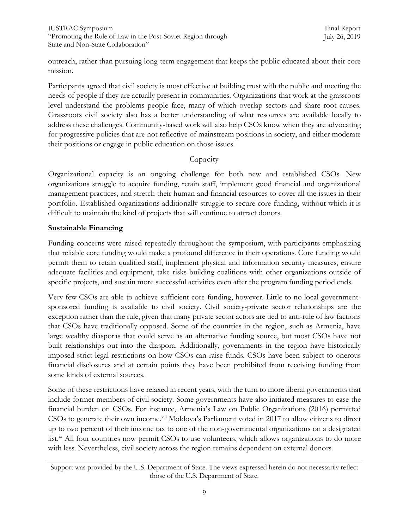outreach, rather than pursuing long-term engagement that keeps the public educated about their core mission.

Participants agreed that civil society is most effective at building trust with the public and meeting the needs of people if they are actually present in communities. Organizations that work at the grassroots level understand the problems people face, many of which overlap sectors and share root causes. Grassroots civil society also has a better understanding of what resources are available locally to address these challenges. Community-based work will also help CSOs know when they are advocating for progressive policies that are not reflective of mainstream positions in society, and either moderate their positions or engage in public education on those issues.

## Capacity

<span id="page-9-0"></span>Organizational capacity is an ongoing challenge for both new and established CSOs. New organizations struggle to acquire funding, retain staff, implement good financial and organizational management practices, and stretch their human and financial resources to cover all the issues in their portfolio. Established organizations additionally struggle to secure core funding, without which it is difficult to maintain the kind of projects that will continue to attract donors.

## <span id="page-9-1"></span>**Sustainable Financing**

Funding concerns were raised repeatedly throughout the symposium, with participants emphasizing that reliable core funding would make a profound difference in their operations. Core funding would permit them to retain qualified staff, implement physical and information security measures, ensure adequate facilities and equipment, take risks building coalitions with other organizations outside of specific projects, and sustain more successful activities even after the program funding period ends.

Very few CSOs are able to achieve sufficient core funding, however. Little to no local governmentsponsored funding is available to civil society. Civil society-private sector relationships are the exception rather than the rule, given that many private sector actors are tied to anti-rule of law factions that CSOs have traditionally opposed. Some of the countries in the region, such as Armenia, have large wealthy diasporas that could serve as an alternative funding source, but most CSOs have not built relationships out into the diaspora. Additionally, governments in the region have historically imposed strict legal restrictions on how CSOs can raise funds. CSOs have been subject to onerous financial disclosures and at certain points they have been prohibited from receiving funding from some kinds of external sources.

Some of these restrictions have relaxed in recent years, with the turn to more liberal governments that include former members of civil society. Some governments have also initiated measures to ease the financial burden on CSOs. For instance, Armenia"s Law on Public Organizations (2016) permitted CSOs to generate their own income.<sup>[viii](#page-25-7)</sup> Moldova's Parliament voted in 2017 to allow citizens to direct up to two percent of their income tax to one of the non-governmental organizations on a designated list. [ix](#page-25-8) All four countries now permit CSOs to use volunteers, which allows organizations to do more with less. Nevertheless, civil society across the region remains dependent on external donors.

Support was provided by the U.S. Department of State. The views expressed herein do not necessarily reflect those of the U.S. Department of State.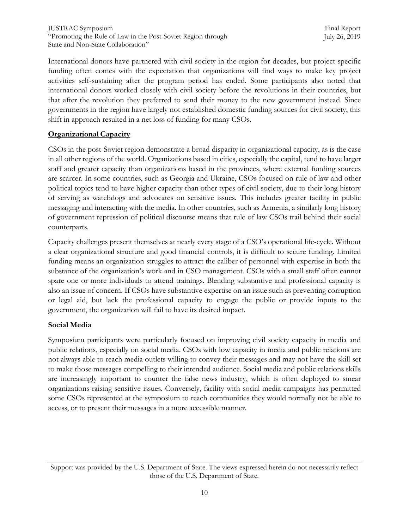International donors have partnered with civil society in the region for decades, but project-specific funding often comes with the expectation that organizations will find ways to make key project activities self-sustaining after the program period has ended. Some participants also noted that international donors worked closely with civil society before the revolutions in their countries, but that after the revolution they preferred to send their money to the new government instead. Since governments in the region have largely not established domestic funding sources for civil society, this shift in approach resulted in a net loss of funding for many CSOs.

## <span id="page-10-0"></span>**Organizational Capacity**

CSOs in the post-Soviet region demonstrate a broad disparity in organizational capacity, as is the case in all other regions of the world. Organizations based in cities, especially the capital, tend to have larger staff and greater capacity than organizations based in the provinces, where external funding sources are scarcer. In some countries, such as Georgia and Ukraine, CSOs focused on rule of law and other political topics tend to have higher capacity than other types of civil society, due to their long history of serving as watchdogs and advocates on sensitive issues. This includes greater facility in public messaging and interacting with the media. In other countries, such as Armenia, a similarly long history of government repression of political discourse means that rule of law CSOs trail behind their social counterparts.

Capacity challenges present themselves at nearly every stage of a CSO"s operational life-cycle. Without a clear organizational structure and good financial controls, it is difficult to secure funding. Limited funding means an organization struggles to attract the caliber of personnel with expertise in both the substance of the organization"s work and in CSO management. CSOs with a small staff often cannot spare one or more individuals to attend trainings. Blending substantive and professional capacity is also an issue of concern. If CSOs have substantive expertise on an issue such as preventing corruption or legal aid, but lack the professional capacity to engage the public or provide inputs to the government, the organization will fail to have its desired impact.

## <span id="page-10-1"></span>**Social Media**

Symposium participants were particularly focused on improving civil society capacity in media and public relations, especially on social media. CSOs with low capacity in media and public relations are not always able to reach media outlets willing to convey their messages and may not have the skill set to make those messages compelling to their intended audience. Social media and public relations skills are increasingly important to counter the false news industry, which is often deployed to smear organizations raising sensitive issues. Conversely, facility with social media campaigns has permitted some CSOs represented at the symposium to reach communities they would normally not be able to access, or to present their messages in a more accessible manner.

Support was provided by the U.S. Department of State. The views expressed herein do not necessarily reflect those of the U.S. Department of State.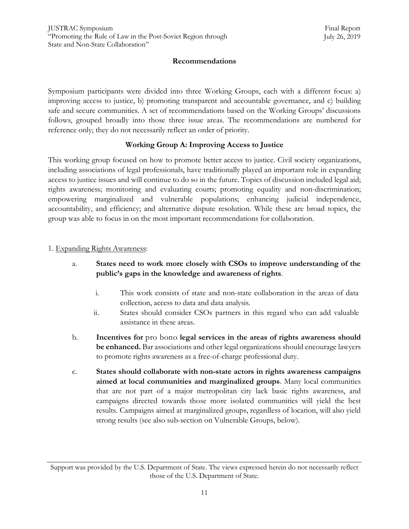## **Recommendations**

<span id="page-11-0"></span>Symposium participants were divided into three Working Groups, each with a different focus: a) improving access to justice, b) promoting transparent and accountable governance, and c) building safe and secure communities. A set of recommendations based on the Working Groups' discussions follows, grouped broadly into those three issue areas. The recommendations are numbered for reference only; they do not necessarily reflect an order of priority.

## **Working Group A: Improving Access to Justice**

<span id="page-11-1"></span>This working group focused on how to promote better access to justice. Civil society organizations, including associations of legal professionals, have traditionally played an important role in expanding access to justice issues and will continue to do so in the future. Topics of discussion included legal aid; rights awareness; monitoring and evaluating courts; promoting equality and non-discrimination; empowering marginalized and vulnerable populations; enhancing judicial independence, accountability, and efficiency; and alternative dispute resolution. While these are broad topics, the group was able to focus in on the most important recommendations for collaboration.

## 1. Expanding Rights Awareness:

- a. **States need to work more closely with CSOs to improve understanding of the public's gaps in the knowledge and awareness of rights**.
	- i. This work consists of state and non-state collaboration in the areas of data collection, access to data and data analysis.
	- ii. States should consider CSOs partners in this regard who can add valuable assistance in these areas.
- b. **Incentives for** pro bono **legal services in the areas of rights awareness should be enhanced.** Bar associations and other legal organizations should encourage lawyers to promote rights awareness as a free-of-charge professional duty.
- c. **States should collaborate with non-state actors in rights awareness campaigns aimed at local communities and marginalized groups**. Many local communities that are not part of a major metropolitan city lack basic rights awareness, and campaigns directed towards those more isolated communities will yield the best results. Campaigns aimed at marginalized groups, regardless of location, will also yield strong results (see also sub-section on Vulnerable Groups, below).

Support was provided by the U.S. Department of State. The views expressed herein do not necessarily reflect those of the U.S. Department of State.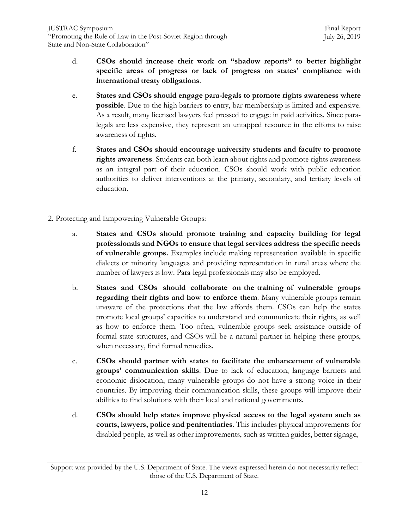- d. **CSOs should increase their work on "shadow reports" to better highlight specific areas of progress or lack of progress on states' compliance with international treaty obligations**.
- e. **States and CSOs should engage para-legals to promote rights awareness where possible**. Due to the high barriers to entry, bar membership is limited and expensive. As a result, many licensed lawyers feel pressed to engage in paid activities. Since paralegals are less expensive, they represent an untapped resource in the efforts to raise awareness of rights.
- f. **States and CSOs should encourage university students and faculty to promote rights awareness**. Students can both learn about rights and promote rights awareness as an integral part of their education. CSOs should work with public education authorities to deliver interventions at the primary, secondary, and tertiary levels of education.

## 2. Protecting and Empowering Vulnerable Groups:

- a. **States and CSOs should promote training and capacity building for legal professionals and NGOs to ensure that legal services address the specific needs of vulnerable groups.** Examples include making representation available in specific dialects or minority languages and providing representation in rural areas where the number of lawyers is low. Para-legal professionals may also be employed.
- b. **States and CSOs should collaborate on the training of vulnerable groups regarding their rights and how to enforce them**. Many vulnerable groups remain unaware of the protections that the law affords them. CSOs can help the states promote local groups" capacities to understand and communicate their rights, as well as how to enforce them. Too often, vulnerable groups seek assistance outside of formal state structures, and CSOs will be a natural partner in helping these groups, when necessary, find formal remedies.
- c. **CSOs should partner with states to facilitate the enhancement of vulnerable groups' communication skills**. Due to lack of education, language barriers and economic dislocation, many vulnerable groups do not have a strong voice in their countries. By improving their communication skills, these groups will improve their abilities to find solutions with their local and national governments.
- d. **CSOs should help states improve physical access to the legal system such as courts, lawyers, police and penitentiaries**. This includes physical improvements for disabled people, as well as other improvements, such as written guides, better signage,

Support was provided by the U.S. Department of State. The views expressed herein do not necessarily reflect those of the U.S. Department of State.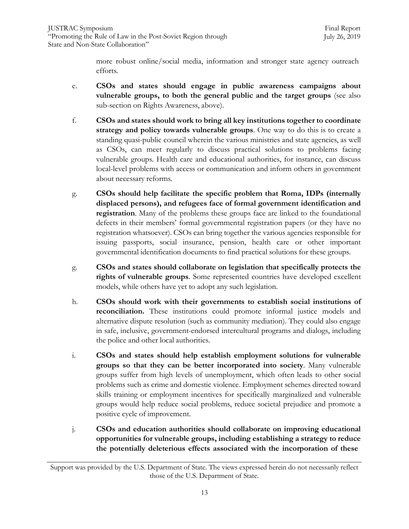more robust online/social media, information and stronger state agency outreach efforts.

- e. **CSOs and states should engage in public awareness campaigns about vulnerable groups, to both the general public and the target groups** (see also sub-section on Rights Awareness, above).
- f. **CSOs and states should work to bring all key institutions together to coordinate strategy and policy towards vulnerable groups**. One way to do this is to create a standing quasi-public council wherein the various ministries and state agencies, as well as CSOs, can meet regularly to discuss practical solutions to problems facing vulnerable groups. Health care and educational authorities, for instance, can discuss local-level problems with access or communication and inform others in government about necessary reforms.
- g. **CSOs should help facilitate the specific problem that Roma, IDPs (internally displaced persons), and refugees face of formal government identification and registration**. Many of the problems these groups face are linked to the foundational defects in their members' formal governmental registration papers (or they have no registration whatsoever). CSOs can bring together the various agencies responsible for issuing passports, social insurance, pension, health care or other important governmental identification documents to find practical solutions for these groups.
- g. **CSOs and states should collaborate on legislation that specifically protects the rights of vulnerable groups**. Some represented countries have developed excellent models, while others have yet to adopt any such legislation.
- h. **CSOs should work with their governments to establish social institutions of reconciliation.** These institutions could promote informal justice models and alternative dispute resolution (such as community mediation). They could also engage in safe, inclusive, government-endorsed intercultural programs and dialogs, including the police and other local authorities.
- i. **CSOs and states should help establish employment solutions for vulnerable groups so that they can be better incorporated into society**. Many vulnerable groups suffer from high levels of unemployment, which often leads to other social problems such as crime and domestic violence. Employment schemes directed toward skills training or employment incentives for specifically marginalized and vulnerable groups would help reduce social problems, reduce societal prejudice and promote a positive cycle of improvement.
- j. **CSOs and education authorities should collaborate on improving educational opportunities for vulnerable groups, including establishing a strategy to reduce the potentially deleterious effects associated with the incorporation of these**

Support was provided by the U.S. Department of State. The views expressed herein do not necessarily reflect those of the U.S. Department of State.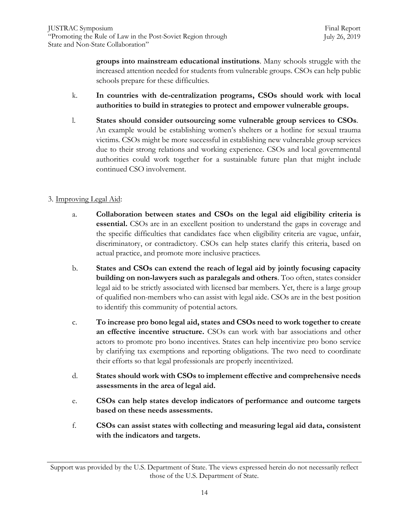**groups into mainstream educational institutions**. Many schools struggle with the increased attention needed for students from vulnerable groups. CSOs can help public schools prepare for these difficulties.

- k. **In countries with de-centralization programs, CSOs should work with local authorities to build in strategies to protect and empower vulnerable groups.**
- l. **States should consider outsourcing some vulnerable group services to CSOs**. An example would be establishing women's shelters or a hotline for sexual trauma victims. CSOs might be more successful in establishing new vulnerable group services due to their strong relations and working experience. CSOs and local governmental authorities could work together for a sustainable future plan that might include continued CSO involvement.

## 3. Improving Legal Aid:

- a. **Collaboration between states and CSOs on the legal aid eligibility criteria is essential.** CSOs are in an excellent position to understand the gaps in coverage and the specific difficulties that candidates face when eligibility criteria are vague, unfair, discriminatory, or contradictory. CSOs can help states clarify this criteria, based on actual practice, and promote more inclusive practices.
- b. **States and CSOs can extend the reach of legal aid by jointly focusing capacity building on non-lawyers such as paralegals and others**. Too often, states consider legal aid to be strictly associated with licensed bar members. Yet, there is a large group of qualified non-members who can assist with legal aide. CSOs are in the best position to identify this community of potential actors.
- c. **To increase pro bono legal aid, states and CSOs need to work together to create an effective incentive structure.** CSOs can work with bar associations and other actors to promote pro bono incentives. States can help incentivize pro bono service by clarifying tax exemptions and reporting obligations. The two need to coordinate their efforts so that legal professionals are properly incentivized.
- d. **States should work with CSOs to implement effective and comprehensive needs assessments in the area of legal aid.**
- e. **CSOs can help states develop indicators of performance and outcome targets based on these needs assessments.**
- f. **CSOs can assist states with collecting and measuring legal aid data, consistent with the indicators and targets.**

Support was provided by the U.S. Department of State. The views expressed herein do not necessarily reflect those of the U.S. Department of State.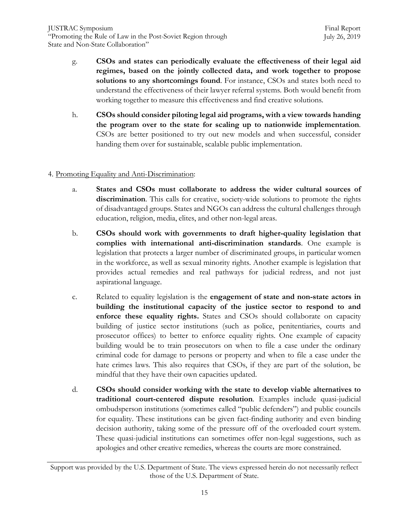- g. **CSOs and states can periodically evaluate the effectiveness of their legal aid regimes, based on the jointly collected data, and work together to propose solutions to any shortcomings found**. For instance, CSOs and states both need to understand the effectiveness of their lawyer referral systems. Both would benefit from working together to measure this effectiveness and find creative solutions.
- h. **CSOs should consider piloting legal aid programs, with a view towards handing the program over to the state for scaling up to nationwide implementation**. CSOs are better positioned to try out new models and when successful, consider handing them over for sustainable, scalable public implementation.

## 4. Promoting Equality and Anti-Discrimination:

- a. **States and CSOs must collaborate to address the wider cultural sources of discrimination**. This calls for creative, society-wide solutions to promote the rights of disadvantaged groups. States and NGOs can address the cultural challenges through education, religion, media, elites, and other non-legal areas.
- b. **CSOs should work with governments to draft higher-quality legislation that complies with international anti-discrimination standards**. One example is legislation that protects a larger number of discriminated groups, in particular women in the workforce, as well as sexual minority rights. Another example is legislation that provides actual remedies and real pathways for judicial redress, and not just aspirational language.
- c. Related to equality legislation is the **engagement of state and non-state actors in building the institutional capacity of the justice sector to respond to and enforce these equality rights.** States and CSOs should collaborate on capacity building of justice sector institutions (such as police, penitentiaries, courts and prosecutor offices) to better to enforce equality rights. One example of capacity building would be to train prosecutors on when to file a case under the ordinary criminal code for damage to persons or property and when to file a case under the hate crimes laws. This also requires that CSOs, if they are part of the solution, be mindful that they have their own capacities updated.
- d. **CSOs should consider working with the state to develop viable alternatives to traditional court-centered dispute resolution**. Examples include quasi-judicial ombudsperson institutions (sometimes called "public defenders") and public councils for equality. These institutions can be given fact-finding authority and even binding decision authority, taking some of the pressure off of the overloaded court system. These quasi-judicial institutions can sometimes offer non-legal suggestions, such as apologies and other creative remedies, whereas the courts are more constrained.

Support was provided by the U.S. Department of State. The views expressed herein do not necessarily reflect those of the U.S. Department of State.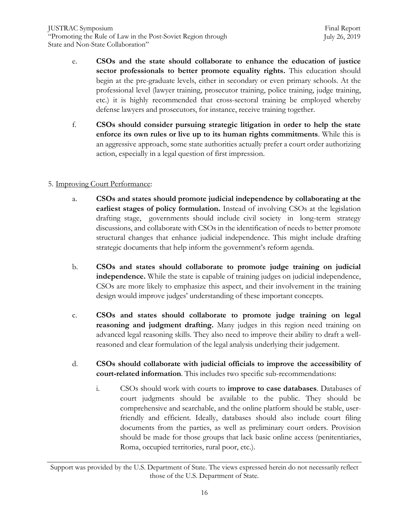- e. **CSOs and the state should collaborate to enhance the education of justice sector professionals to better promote equality rights.** This education should begin at the pre-graduate levels, either in secondary or even primary schools. At the professional level (lawyer training, prosecutor training, police training, judge training, etc.) it is highly recommended that cross-sectoral training be employed whereby defense lawyers and prosecutors, for instance, receive training together.
- f. **CSOs should consider pursuing strategic litigation in order to help the state enforce its own rules or live up to its human rights commitments**. While this is an aggressive approach, some state authorities actually prefer a court order authorizing action, especially in a legal question of first impression.

## 5. Improving Court Performance:

- a. **CSOs and states should promote judicial independence by collaborating at the earliest stages of policy formulation.** Instead of involving CSOs at the legislation drafting stage, governments should include civil society in long-term strategy discussions, and collaborate with CSOs in the identification of needs to better promote structural changes that enhance judicial independence. This might include drafting strategic documents that help inform the government's reform agenda.
- b. **CSOs and states should collaborate to promote judge training on judicial independence.** While the state is capable of training judges on judicial independence, CSOs are more likely to emphasize this aspect, and their involvement in the training design would improve judges' understanding of these important concepts.
- c. **CSOs and states should collaborate to promote judge training on legal reasoning and judgment drafting.** Many judges in this region need training on advanced legal reasoning skills. They also need to improve their ability to draft a wellreasoned and clear formulation of the legal analysis underlying their judgement.
- d. **CSOs should collaborate with judicial officials to improve the accessibility of court-related information**. This includes two specific sub-recommendations:
	- i. CSOs should work with courts to **improve to case databases**. Databases of court judgments should be available to the public. They should be comprehensive and searchable, and the online platform should be stable, userfriendly and efficient. Ideally, databases should also include court filing documents from the parties, as well as preliminary court orders. Provision should be made for those groups that lack basic online access (penitentiaries, Roma, occupied territories, rural poor, etc.).

Support was provided by the U.S. Department of State. The views expressed herein do not necessarily reflect those of the U.S. Department of State.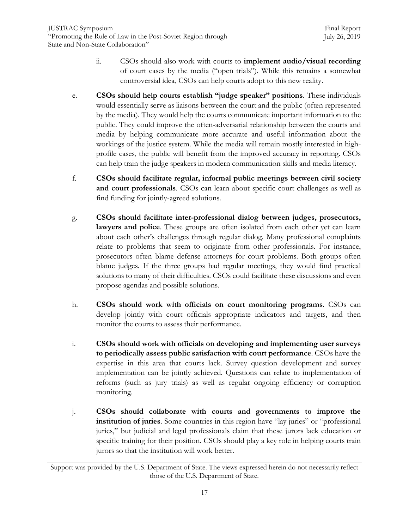- ii. CSOs should also work with courts to **implement audio/visual recording** of court cases by the media ("open trials"). While this remains a somewhat controversial idea, CSOs can help courts adopt to this new reality.
- e. **CSOs should help courts establish "judge speaker" positions**. These individuals would essentially serve as liaisons between the court and the public (often represented by the media). They would help the courts communicate important information to the public. They could improve the often-adversarial relationship between the courts and media by helping communicate more accurate and useful information about the workings of the justice system. While the media will remain mostly interested in highprofile cases, the public will benefit from the improved accuracy in reporting. CSOs can help train the judge speakers in modern communication skills and media literacy.
- f. **CSOs should facilitate regular, informal public meetings between civil society and court professionals**. CSOs can learn about specific court challenges as well as find funding for jointly-agreed solutions.
- g. **CSOs should facilitate inter-professional dialog between judges, prosecutors, lawyers and police**. These groups are often isolated from each other yet can learn about each other"s challenges through regular dialog. Many professional complaints relate to problems that seem to originate from other professionals. For instance, prosecutors often blame defense attorneys for court problems. Both groups often blame judges. If the three groups had regular meetings, they would find practical solutions to many of their difficulties. CSOs could facilitate these discussions and even propose agendas and possible solutions.
- h. **CSOs should work with officials on court monitoring programs**. CSOs can develop jointly with court officials appropriate indicators and targets, and then monitor the courts to assess their performance.
- i. **CSOs should work with officials on developing and implementing user surveys to periodically assess public satisfaction with court performance**. CSOs have the expertise in this area that courts lack. Survey question development and survey implementation can be jointly achieved. Questions can relate to implementation of reforms (such as jury trials) as well as regular ongoing efficiency or corruption monitoring.
- j. **CSOs should collaborate with courts and governments to improve the institution of juries**. Some countries in this region have "lay juries" or "professional juries," but judicial and legal professionals claim that these jurors lack education or specific training for their position. CSOs should play a key role in helping courts train jurors so that the institution will work better.

Support was provided by the U.S. Department of State. The views expressed herein do not necessarily reflect those of the U.S. Department of State.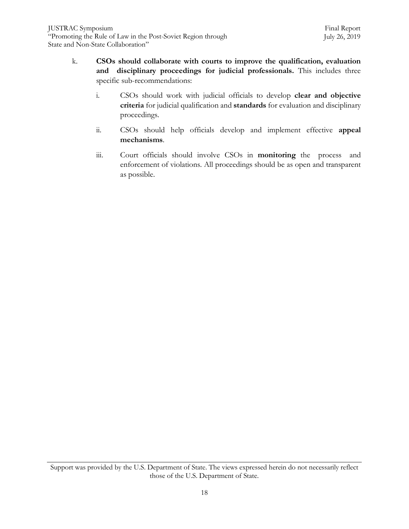- k. **CSOs should collaborate with courts to improve the qualification, evaluation and disciplinary proceedings for judicial professionals.** This includes three specific sub-recommendations:
	- i. CSOs should work with judicial officials to develop **clear and objective criteria** for judicial qualification and **standards** for evaluation and disciplinary proceedings.
	- ii. CSOs should help officials develop and implement effective **appeal mechanisms**.
	- iii. Court officials should involve CSOs in **monitoring** the process and enforcement of violations. All proceedings should be as open and transparent as possible.

Support was provided by the U.S. Department of State. The views expressed herein do not necessarily reflect those of the U.S. Department of State.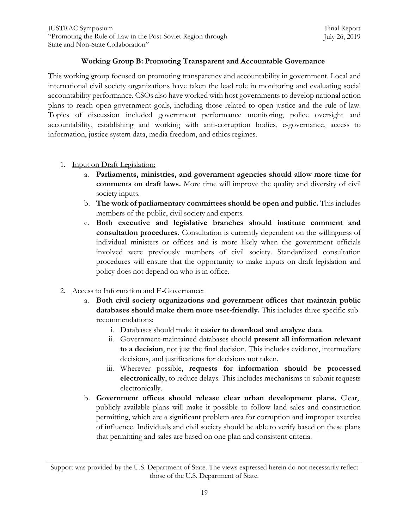## **Working Group B: Promoting Transparent and Accountable Governance**

This working group focused on promoting transparency and accountability in government. Local and international civil society organizations have taken the lead role in monitoring and evaluating social accountability performance. CSOs also have worked with host governments to develop national action plans to reach open government goals, including those related to open justice and the rule of law. Topics of discussion included government performance monitoring, police oversight and accountability, establishing and working with anti-corruption bodies, e-governance, access to information, justice system data, media freedom, and ethics regimes.

- 1. Input on Draft Legislation:
	- a. **Parliaments, ministries, and government agencies should allow more time for comments on draft laws.** More time will improve the quality and diversity of civil society inputs.
	- b. **The work of parliamentary committees should be open and public.** This includes members of the public, civil society and experts.
	- c. **Both executive and legislative branches should institute comment and consultation procedures.** Consultation is currently dependent on the willingness of individual ministers or offices and is more likely when the government officials involved were previously members of civil society. Standardized consultation procedures will ensure that the opportunity to make inputs on draft legislation and policy does not depend on who is in office.
- 2. Access to Information and E-Governance:
	- a. **Both civil society organizations and government offices that maintain public databases should make them more user-friendly.** This includes three specific subrecommendations:
		- i. Databases should make it **easier to download and analyze data**.
		- ii. Government-maintained databases should **present all information relevant to a decision**, not just the final decision. This includes evidence, intermediary decisions, and justifications for decisions not taken.
		- iii. Wherever possible, **requests for information should be processed electronically**, to reduce delays. This includes mechanisms to submit requests electronically.
	- b. **Government offices should release clear urban development plans.** Clear, publicly available plans will make it possible to follow land sales and construction permitting, which are a significant problem area for corruption and improper exercise of influence. Individuals and civil society should be able to verify based on these plans that permitting and sales are based on one plan and consistent criteria.

Support was provided by the U.S. Department of State. The views expressed herein do not necessarily reflect those of the U.S. Department of State.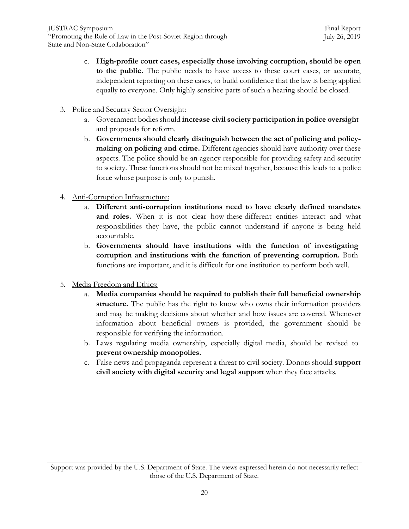- c. **High-profile court cases, especially those involving corruption, should be open to the public.** The public needs to have access to these court cases, or accurate, independent reporting on these cases, to build confidence that the law is being applied equally to everyone. Only highly sensitive parts of such a hearing should be closed.
- 3. Police and Security Sector Oversight:
	- a. Government bodies should **increase civil society participation in police oversight** and proposals for reform.
	- b. **Governments should clearly distinguish between the act of policing and policymaking on policing and crime.** Different agencies should have authority over these aspects. The police should be an agency responsible for providing safety and security to society. These functions should not be mixed together, because this leads to a police force whose purpose is only to punish.
- 4. Anti-Corruption Infrastructure:
	- a. **Different anti-corruption institutions need to have clearly defined mandates** and roles. When it is not clear how these different entities interact and what responsibilities they have, the public cannot understand if anyone is being held accountable.
	- b. **Governments should have institutions with the function of investigating corruption and institutions with the function of preventing corruption.** Both functions are important, and it is difficult for one institution to perform both well.
- 5. Media Freedom and Ethics:
	- a. **Media companies should be required to publish their full beneficial ownership structure.** The public has the right to know who owns their information providers and may be making decisions about whether and how issues are covered. Whenever information about beneficial owners is provided, the government should be responsible for verifying the information.
	- b. Laws regulating media ownership, especially digital media, should be revised to **prevent ownership monopolies.**
	- c. False news and propaganda represent a threat to civil society. Donors should **support civil society with digital security and legal support** when they face attacks.

Support was provided by the U.S. Department of State. The views expressed herein do not necessarily reflect those of the U.S. Department of State.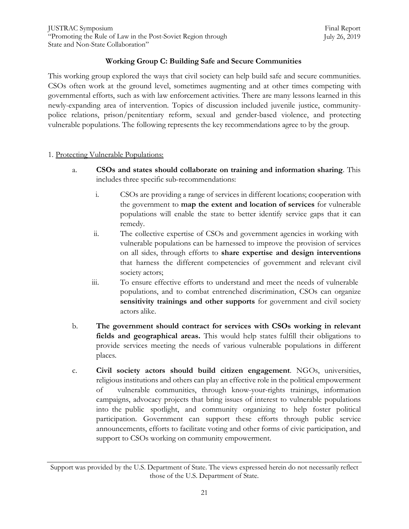## **Working Group C: Building Safe and Secure Communities**

This working group explored the ways that civil society can help build safe and secure communities. CSOs often work at the ground level, sometimes augmenting and at other times competing with governmental efforts, such as with law enforcement activities. There are many lessons learned in this newly-expanding area of intervention. Topics of discussion included juvenile justice, communitypolice relations, prison/penitentiary reform, sexual and gender-based violence, and protecting vulnerable populations. The following represents the key recommendations agree to by the group.

#### 1. Protecting Vulnerable Populations:

- a. **CSOs and states should collaborate on training and information sharing**. This includes three specific sub-recommendations:
	- i. CSOs are providing a range of services in different locations; cooperation with the government to **map the extent and location of services** for vulnerable populations will enable the state to better identify service gaps that it can remedy.
	- ii. The collective expertise of CSOs and government agencies in working with vulnerable populations can be harnessed to improve the provision of services on all sides, through efforts to **share expertise and design interventions** that harness the different competencies of government and relevant civil society actors;
	- iii. To ensure effective efforts to understand and meet the needs of vulnerable populations, and to combat entrenched discrimination, CSOs can organize **sensitivity trainings and other supports** for government and civil society actors alike.
- b. **The government should contract for services with CSOs working in relevant fields and geographical areas.** This would help states fulfill their obligations to provide services meeting the needs of various vulnerable populations in different places.
- c. **Civil society actors should build citizen engagement**. NGOs, universities, religious institutions and others can play an effective role in the political empowerment of vulnerable communities, through know-your-rights trainings, information campaigns, advocacy projects that bring issues of interest to vulnerable populations into the public spotlight, and community organizing to help foster political participation. Government can support these efforts through public service announcements, efforts to facilitate voting and other forms of civic participation, and support to CSOs working on community empowerment.

Support was provided by the U.S. Department of State. The views expressed herein do not necessarily reflect those of the U.S. Department of State.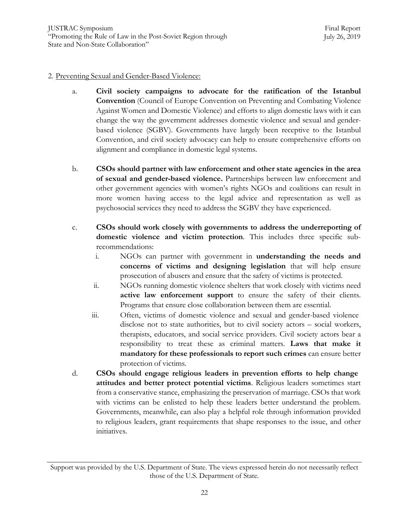#### 2. Preventing Sexual and Gender-Based Violence:

- a. **Civil society campaigns to advocate for the ratification of the Istanbul Convention** (Council of Europe Convention on Preventing and Combating Violence Against Women and Domestic Violence) and efforts to align domestic laws with it can change the way the government addresses domestic violence and sexual and genderbased violence (SGBV). Governments have largely been receptive to the Istanbul Convention, and civil society advocacy can help to ensure comprehensive efforts on alignment and compliance in domestic legal systems.
- b. **CSOs should partner with law enforcement and other state agencies in the area of sexual and gender-based violence.** Partnerships between law enforcement and other government agencies with women"s rights NGOs and coalitions can result in more women having access to the legal advice and representation as well as psychosocial services they need to address the SGBV they have experienced.
- c. **CSOs should work closely with governments to address the underreporting of domestic violence and victim protection**. This includes three specific subrecommendations:
	- i. NGOs can partner with government in **understanding the needs and concerns of victims and designing legislation** that will help ensure prosecution of abusers and ensure that the safety of victims is protected.
	- ii. NGOs running domestic violence shelters that work closely with victims need **active law enforcement support** to ensure the safety of their clients. Programs that ensure close collaboration between them are essential.
	- iii. Often, victims of domestic violence and sexual and gender-based violence disclose not to state authorities, but to civil society actors – social workers, therapists, educators, and social service providers. Civil society actors bear a responsibility to treat these as criminal matters. **Laws that make it mandatory for these professionals to report such crimes** can ensure better protection of victims.
- d. **CSOs should engage religious leaders in prevention efforts to help change attitudes and better protect potential victims**. Religious leaders sometimes start from a conservative stance, emphasizing the preservation of marriage. CSOs that work with victims can be enlisted to help these leaders better understand the problem. Governments, meanwhile, can also play a helpful role through information provided to religious leaders, grant requirements that shape responses to the issue, and other initiatives.

Support was provided by the U.S. Department of State. The views expressed herein do not necessarily reflect those of the U.S. Department of State.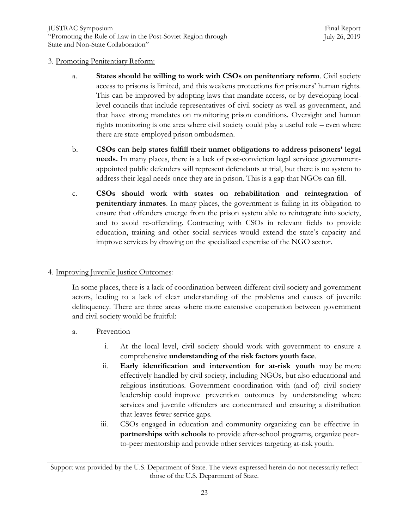#### 3. Promoting Penitentiary Reform:

- a. **States should be willing to work with CSOs on penitentiary reform**. Civil society access to prisons is limited, and this weakens protections for prisoners" human rights. This can be improved by adopting laws that mandate access, or by developing locallevel councils that include representatives of civil society as well as government, and that have strong mandates on monitoring prison conditions. Oversight and human rights monitoring is one area where civil society could play a useful role – even where there are state-employed prison ombudsmen.
- b. **CSOs can help states fulfill their unmet obligations to address prisoners' legal needs.** In many places, there is a lack of post-conviction legal services: governmentappointed public defenders will represent defendants at trial, but there is no system to address their legal needs once they are in prison. This is a gap that NGOs can fill.
- c. **CSOs should work with states on rehabilitation and reintegration of penitentiary inmates**. In many places, the government is failing in its obligation to ensure that offenders emerge from the prison system able to reintegrate into society, and to avoid re-offending. Contracting with CSOs in relevant fields to provide education, training and other social services would extend the state"s capacity and improve services by drawing on the specialized expertise of the NGO sector.

## 4. Improving Juvenile Justice Outcomes:

In some places, there is a lack of coordination between different civil society and government actors, leading to a lack of clear understanding of the problems and causes of juvenile delinquency. There are three areas where more extensive cooperation between government and civil society would be fruitful:

- a. Prevention
	- i. At the local level, civil society should work with government to ensure a comprehensive **understanding of the risk factors youth face**.
	- ii. **Early identification and intervention for at-risk youth** may be more effectively handled by civil society, including NGOs, but also educational and religious institutions. Government coordination with (and of) civil society leadership could improve prevention outcomes by understanding where services and juvenile offenders are concentrated and ensuring a distribution that leaves fewer service gaps.
	- iii. CSOs engaged in education and community organizing can be effective in **partnerships with schools** to provide after-school programs, organize peerto-peer mentorship and provide other services targeting at-risk youth.

Support was provided by the U.S. Department of State. The views expressed herein do not necessarily reflect those of the U.S. Department of State.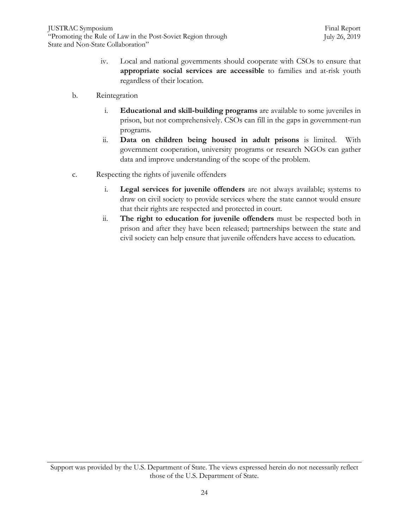- iv. Local and national governments should cooperate with CSOs to ensure that **appropriate social services are accessible** to families and at-risk youth regardless of their location.
- b. Reintegration
	- i. **Educational and skill-building programs** are available to some juveniles in prison, but not comprehensively. CSOs can fill in the gaps in government-run programs.
	- ii. **Data on children being housed in adult prisons** is limited. With government cooperation, university programs or research NGOs can gather data and improve understanding of the scope of the problem.
- c. Respecting the rights of juvenile offenders
	- i. **Legal services for juvenile offenders** are not always available; systems to draw on civil society to provide services where the state cannot would ensure that their rights are respected and protected in court.
	- ii. **The right to education for juvenile offenders** must be respected both in prison and after they have been released; partnerships between the state and civil society can help ensure that juvenile offenders have access to education.

Support was provided by the U.S. Department of State. The views expressed herein do not necessarily reflect those of the U.S. Department of State.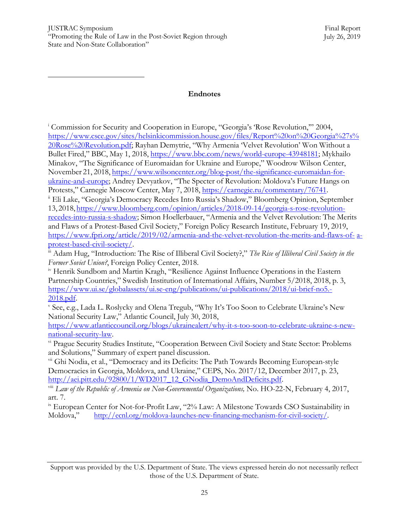#### **Endnotes**

<span id="page-25-0"></span><sup>i</sup> Commission for Security and Cooperation in Europe, "Georgia"s "Rose Revolution,"" 2004, [https://www.csce.gov/sites/helsinkicommission.house.gov/files/Report%20on%20Georgia%27s%](https://www.csce.gov/sites/helsinkicommission.house.gov/files/Report%20on%20Georgia%27s%20Rose%20Revolution.pdf) [20Rose%20Revolution.pdf;](https://www.csce.gov/sites/helsinkicommission.house.gov/files/Report%20on%20Georgia%27s%20Rose%20Revolution.pdf) Rayhan Demytrie, "Why Armenia "Velvet Revolution" Won Without a Bullet Fired," BBC, May 1, 2018, [https://www.bbc.com/news/world-europe-43948181;](https://www.bbc.com/news/world-europe-43948181) Mykhailo Minakov, "The Significance of Euromaidan for Ukraine and Europe," Woodrow Wilson Center, November 21, 2018, [https://www.wilsoncenter.org/blog-post/the-significance-euromaidan-for](https://www.wilsoncenter.org/blog-post/the-significance-euromaidan-for-ukraine-and-europe)[ukraine-and-europe;](https://www.wilsoncenter.org/blog-post/the-significance-euromaidan-for-ukraine-and-europe) Andrey Devyatkov, "The Specter of Revolution: Moldova"s Future Hangs on Protests," Carnegie Moscow Center, May 7, 2018, [https://carnegie.ru/commentary/76741.](https://carnegie.ru/commentary/76741)

<span id="page-25-1"></span>ii Eli Lake, "Georgia"s Democracy Recedes Into Russia"s Shadow," Bloomberg Opinion, September 13, 2018, [https://www.bloomberg.com/opinion/articles/2018-09-14/georgia-s-rose-revolution](https://www.bloomberg.com/opinion/articles/2018-09-14/georgia-s-rose-revolution-recedes-into-russia-s-shadow)[recedes-into-russia-s-shadow;](https://www.bloomberg.com/opinion/articles/2018-09-14/georgia-s-rose-revolution-recedes-into-russia-s-shadow) Simon Hoellerbauer, "Armenia and the Velvet Revolution: The Merits and Flaws of a Protest-Based Civil Society," Foreign Policy Research Institute, February 19, 2019, [https://www.fpri.org/article/2019/02/armenia-and-the-velvet-revolution-the-merits-and-flaws-of-](https://www.fpri.org/article/2019/02/armenia-and-the-velvet-revolution-the-merits-and-flaws-of-a-protest-based-civil-society/) [a](https://www.fpri.org/article/2019/02/armenia-and-the-velvet-revolution-the-merits-and-flaws-of-a-protest-based-civil-society/)[protest-based-civil-society/.](https://www.fpri.org/article/2019/02/armenia-and-the-velvet-revolution-the-merits-and-flaws-of-a-protest-based-civil-society/)

<span id="page-25-2"></span>iii Adam Hug, "Introduction: The Rise of Illiberal Civil Society?," *The Rise of Illiberal Civil Society in the Former Soviet Union?*, Foreign Policy Center, 2018.

<span id="page-25-3"></span>iv Henrik Sundbom and Martin Kragh, "Resilience Against Influence Operations in the Eastern Partnership Countries," Swedish Institution of International Affairs, Number 5/2018, 2018, p. 3, [https://www.ui.se/globalassets/ui.se-eng/publications/ui-publications/2018/ui-brief-no5.-](https://www.ui.se/globalassets/ui.se-eng/publications/ui-publications/2018/ui-brief-no5.-2018.pdf) [2018.pdf.](https://www.ui.se/globalassets/ui.se-eng/publications/ui-publications/2018/ui-brief-no5.-2018.pdf)

<span id="page-25-4"></span><sup>v</sup> See, e.g., Lada L. Roslycky and Olena Tregub, "Why It's Too Soon to Celebrate Ukraine's New National Security Law," Atlantic Council, July 30, 2018,

[https://www.atlanticcouncil.org/blogs/ukrainealert/why-it-s-too-soon-to-celebrate-ukraine-s-new](https://www.atlanticcouncil.org/blogs/ukrainealert/why-it-s-too-soon-to-celebrate-ukraine-s-new-national-security-law)[national-security-law.](https://www.atlanticcouncil.org/blogs/ukrainealert/why-it-s-too-soon-to-celebrate-ukraine-s-new-national-security-law)

<span id="page-25-5"></span>vi Prague Security Studies Institute, "Cooperation Between Civil Society and State Sector: Problems and Solutions," Summary of expert panel discussion.

<span id="page-25-6"></span><sup>vii</sup> Ghi Nodia, et al., "Democracy and its Deficits: The Path Towards Becoming European-style Democracies in Georgia, Moldova, and Ukraine," CEPS, No. 2017/12, December 2017, p. 23, [http://aei.pitt.edu/92800/1/WD2017\\_12\\_GNodia\\_DemoAndDeficits.pdf.](http://aei.pitt.edu/92800/1/WD2017_12_GNodia_DemoAndDeficits.pdf)

<span id="page-25-7"></span>viii *Law of the Republic of Armenia on Non-Governmental Organizations,* No. HO-22-N, February 4, 2017, art. 7.

<span id="page-25-8"></span><sup>ix</sup> European Center for Not-for-Profit Law, "2% Law: A Milestone Towards CSO Sustainability in Moldova," [http://ecnl.org/moldova-launches-new-financing-mechanism-for-civil-society/.](http://ecnl.org/moldova-launches-new-financing-mechanism-for-civil-society/)

Support was provided by the U.S. Department of State. The views expressed herein do not necessarily reflect those of the U.S. Department of State.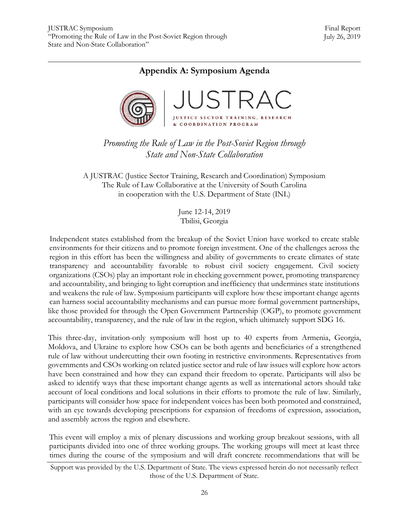## **Appendix A: Symposium Agenda**



*Promoting the Rule of Law in the Post-Soviet Region through State and Non-State Collaboration*

A JUSTRAC (Justice Sector Training, Research and Coordination) Symposium The Rule of Law Collaborative at the University of South Carolina in cooperation with the U.S. Department of State (INL)

> June 12-14, 2019 Tbilisi, Georgia

Independent states established from the breakup of the Soviet Union have worked to create stable environments for their citizens and to promote foreign investment. One of the challenges across the region in this effort has been the willingness and ability of governments to create climates of state transparency and accountability favorable to robust civil society engagement. Civil society organizations (CSOs) play an important role in checking government power, promoting transparency and accountability, and bringing to light corruption and inefficiency that undermines state institutions and weakens the rule of law. Symposium participants will explore how these important change agents can harness social accountability mechanisms and can pursue more formal government partnerships, like those provided for through the Open Government Partnership (OGP), to promote government accountability, transparency, and the rule of law in the region, which ultimately support SDG 16.

This three-day, invitation-only symposium will host up to 40 experts from Armenia, Georgia, Moldova, and Ukraine to explore how CSOs can be both agents and beneficiaries of a strengthened rule of law without undercutting their own footing in restrictive environments. Representatives from governments and CSOs working on related justice sector and rule of law issues will explore how actors have been constrained and how they can expand their freedom to operate. Participants will also be asked to identify ways that these important change agents as well as international actors should take account of local conditions and local solutions in their efforts to promote the rule of law. Similarly, participants will consider how space for independent voices has been both promoted and constrained, with an eye towards developing prescriptions for expansion of freedoms of expression, association, and assembly across the region and elsewhere.

This event will employ a mix of plenary discussions and working group breakout sessions, with all participants divided into one of three working groups. The working groups will meet at least three times during the course of the symposium and will draft concrete recommendations that will be

Support was provided by the U.S. Department of State. The views expressed herein do not necessarily reflect those of the U.S. Department of State.